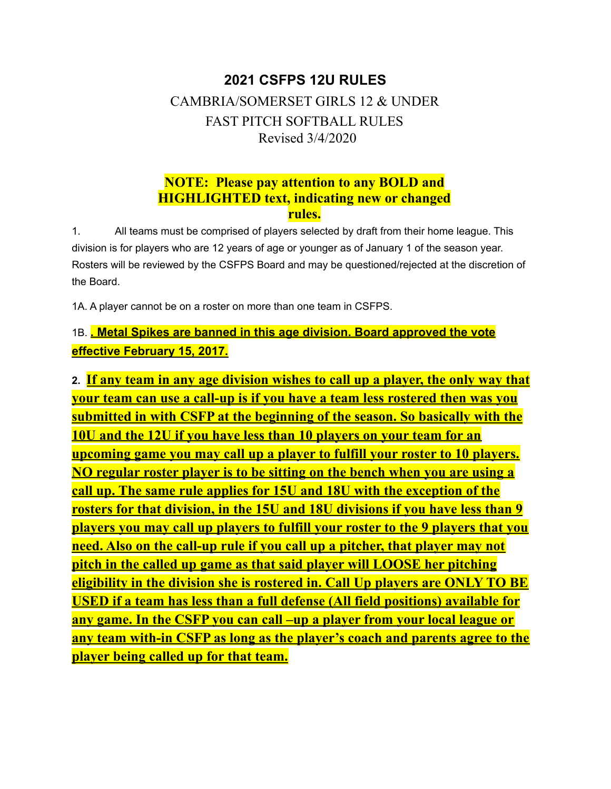# **2021 CSFPS 12U RULES** CAMBRIA/SOMERSET GIRLS 12 & UNDER FAST PITCH SOFTBALL RULES Revised 3/4/2020

# **NOTE: Please pay attention to any BOLD and HIGHLIGHTED text, indicating new or changed rules.**

1. All teams must be comprised of players selected by draft from their home league. This division is for players who are 12 years of age or younger as of January 1 of the season year. Rosters will be reviewed by the CSFPS Board and may be questioned/rejected at the discretion of the Board.

1A. A player cannot be on a roster on more than one team in CSFPS.

# 1B. **. Metal Spikes are banned in this age division. Board approved the vote effective February 15, 2017.**

**2. If any team in any age division wishes to call up a player, the only way that your team can use a call-up is if you have a team less rostered then was you submitted in with CSFP at the beginning of the season. So basically with the 10U and the 12U if you have less than 10 players on your team for an upcoming game you may call up a player to fulfill your roster to 10 players. NO regular roster player is to be sitting on the bench when you are using a call up. The same rule applies for 15U and 18U with the exception of the rosters for that division, in the 15U and 18U divisions if you have less than 9 players you may call up players to fulfill your roster to the 9 players that you need. Also on the call-up rule if you call up a pitcher, that player may not pitch in the called up game as that said player will LOOSE her pitching eligibility in the division she is rostered in. Call Up players are ONLY TO BE USED if a team has less than a full defense (All field positions) available for any game. In the CSFP you can call –up a player from your local league or any team with-in CSFP as long as the player's coach and parents agree to the player being called up for that team.**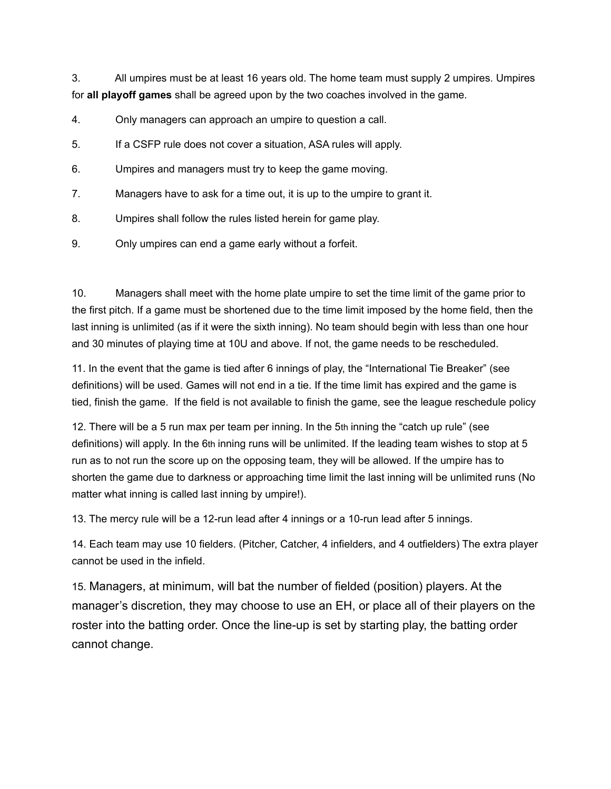3. All umpires must be at least 16 years old. The home team must supply 2 umpires. Umpires for **all playoff games** shall be agreed upon by the two coaches involved in the game.

- 4. Only managers can approach an umpire to question a call.
- 5. If a CSFP rule does not cover a situation, ASA rules will apply.
- 6. Umpires and managers must try to keep the game moving.
- 7. Managers have to ask for a time out, it is up to the umpire to grant it.
- 8. Umpires shall follow the rules listed herein for game play.
- 9. Only umpires can end a game early without a forfeit.

10. Managers shall meet with the home plate umpire to set the time limit of the game prior to the first pitch. If a game must be shortened due to the time limit imposed by the home field, then the last inning is unlimited (as if it were the sixth inning). No team should begin with less than one hour and 30 minutes of playing time at 10U and above. If not, the game needs to be rescheduled.

11. In the event that the game is tied after 6 innings of play, the "International Tie Breaker" (see definitions) will be used. Games will not end in a tie. If the time limit has expired and the game is tied, finish the game. If the field is not available to finish the game, see the league reschedule policy

12. There will be a 5 run max per team per inning. In the 5th inning the "catch up rule" (see definitions) will apply. In the 6th inning runs will be unlimited. If the leading team wishes to stop at 5 run as to not run the score up on the opposing team, they will be allowed. If the umpire has to shorten the game due to darkness or approaching time limit the last inning will be unlimited runs (No matter what inning is called last inning by umpire!).

13. The mercy rule will be a 12-run lead after 4 innings or a 10-run lead after 5 innings.

14. Each team may use 10 fielders. (Pitcher, Catcher, 4 infielders, and 4 outfielders) The extra player cannot be used in the infield.

15. Managers, at minimum, will bat the number of fielded (position) players. At the manager's discretion, they may choose to use an EH, or place all of their players on the roster into the batting order. Once the line-up is set by starting play, the batting order cannot change.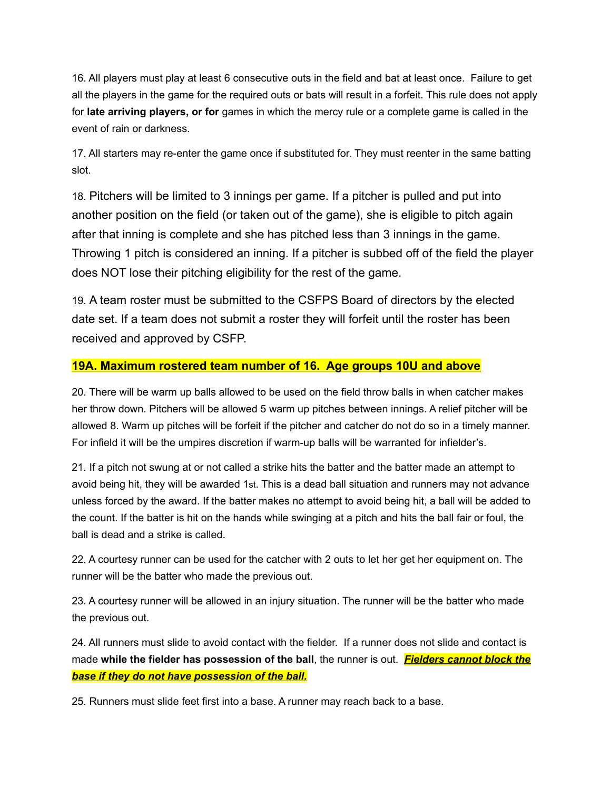16. All players must play at least 6 consecutive outs in the field and bat at least once. Failure to get all the players in the game for the required outs or bats will result in a forfeit. This rule does not apply for **late arriving players, or for** games in which the mercy rule or a complete game is called in the event of rain or darkness.

17. All starters may re-enter the game once if substituted for. They must reenter in the same batting slot.

18. Pitchers will be limited to 3 innings per game. If a pitcher is pulled and put into another position on the field (or taken out of the game), she is eligible to pitch again after that inning is complete and she has pitched less than 3 innings in the game. Throwing 1 pitch is considered an inning. If a pitcher is subbed off of the field the player does NOT lose their pitching eligibility for the rest of the game.

19. A team roster must be submitted to the CSFPS Board of directors by the elected date set. If a team does not submit a roster they will forfeit until the roster has been received and approved by CSFP.

### **19A. Maximum rostered team number of 16. Age groups 10U and above**

20. There will be warm up balls allowed to be used on the field throw balls in when catcher makes her throw down. Pitchers will be allowed 5 warm up pitches between innings. A relief pitcher will be allowed 8. Warm up pitches will be forfeit if the pitcher and catcher do not do so in a timely manner. For infield it will be the umpires discretion if warm-up balls will be warranted for infielder's.

21. If a pitch not swung at or not called a strike hits the batter and the batter made an attempt to avoid being hit, they will be awarded 1st. This is a dead ball situation and runners may not advance unless forced by the award. If the batter makes no attempt to avoid being hit, a ball will be added to the count. If the batter is hit on the hands while swinging at a pitch and hits the ball fair or foul, the ball is dead and a strike is called.

22. A courtesy runner can be used for the catcher with 2 outs to let her get her equipment on. The runner will be the batter who made the previous out.

23. A courtesy runner will be allowed in an injury situation. The runner will be the batter who made the previous out.

24. All runners must slide to avoid contact with the fielder. If a runner does not slide and contact is made **while the fielder has possession of the ball**, the runner is out. *Fielders cannot block the base if they do not have possession of the ball.*

25. Runners must slide feet first into a base. A runner may reach back to a base.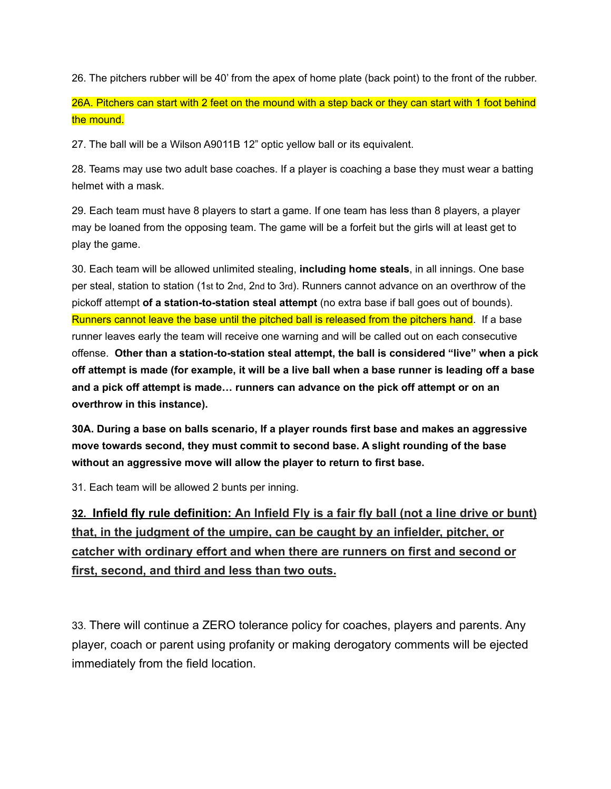26. The pitchers rubber will be 40' from the apex of home plate (back point) to the front of the rubber.

26A. Pitchers can start with 2 feet on the mound with a step back or they can start with 1 foot behind the mound.

27. The ball will be a Wilson A9011B 12" optic yellow ball or its equivalent.

28. Teams may use two adult base coaches. If a player is coaching a base they must wear a batting helmet with a mask.

29. Each team must have 8 players to start a game. If one team has less than 8 players, a player may be loaned from the opposing team. The game will be a forfeit but the girls will at least get to play the game.

30. Each team will be allowed unlimited stealing, **including home steals**, in all innings. One base per steal, station to station (1st to 2nd, 2nd to 3rd). Runners cannot advance on an overthrow of the pickoff attempt **of a station-to-station steal attempt** (no extra base if ball goes out of bounds). Runners cannot leave the base until the pitched ball is released from the pitchers hand. If a base runner leaves early the team will receive one warning and will be called out on each consecutive offense. **Other than a station-to-station steal attempt, the ball is considered "live" when a pick off attempt is made (for example, it will be a live ball when a base runner is leading off a base and a pick off attempt is made… runners can advance on the pick off attempt or on an overthrow in this instance).**

**30A. During a base on balls scenario, If a player rounds first base and makes an aggressive move towards second, they must commit to second base. A slight rounding of the base without an aggressive move will allow the player to return to first base.**

31. Each team will be allowed 2 bunts per inning.

**32. Infield fly rule definition: An Infield Fly is a fair fly ball (not a line drive or bunt) that, in the judgment of the umpire, can be caught by an infielder, pitcher, or catcher with ordinary effort and when there are runners on first and second or first, second, and third and less than two outs.**

33. There will continue a ZERO tolerance policy for coaches, players and parents. Any player, coach or parent using profanity or making derogatory comments will be ejected immediately from the field location.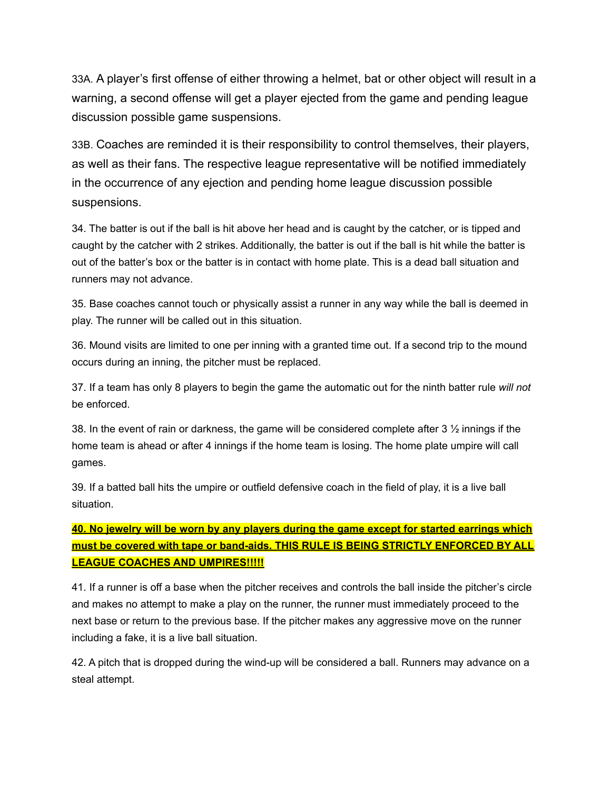33A. A player's first offense of either throwing a helmet, bat or other object will result in a warning, a second offense will get a player ejected from the game and pending league discussion possible game suspensions.

33B. Coaches are reminded it is their responsibility to control themselves, their players, as well as their fans. The respective league representative will be notified immediately in the occurrence of any ejection and pending home league discussion possible suspensions.

34. The batter is out if the ball is hit above her head and is caught by the catcher, or is tipped and caught by the catcher with 2 strikes. Additionally, the batter is out if the ball is hit while the batter is out of the batter's box or the batter is in contact with home plate. This is a dead ball situation and runners may not advance.

35. Base coaches cannot touch or physically assist a runner in any way while the ball is deemed in play. The runner will be called out in this situation.

36. Mound visits are limited to one per inning with a granted time out. If a second trip to the mound occurs during an inning, the pitcher must be replaced.

37. If a team has only 8 players to begin the game the automatic out for the ninth batter rule *will not* be enforced.

38. In the event of rain or darkness, the game will be considered complete after 3 ½ innings if the home team is ahead or after 4 innings if the home team is losing. The home plate umpire will call games.

39. If a batted ball hits the umpire or outfield defensive coach in the field of play, it is a live ball situation.

**40. No jewelry will be worn by any players during the game except for started earrings which must be covered with tape or band-aids. THIS RULE IS BEING STRICTLY ENFORCED BY ALL LEAGUE COACHES AND UMPIRES!!!!!**

41. If a runner is off a base when the pitcher receives and controls the ball inside the pitcher's circle and makes no attempt to make a play on the runner, the runner must immediately proceed to the next base or return to the previous base. If the pitcher makes any aggressive move on the runner including a fake, it is a live ball situation.

42. A pitch that is dropped during the wind-up will be considered a ball. Runners may advance on a steal attempt.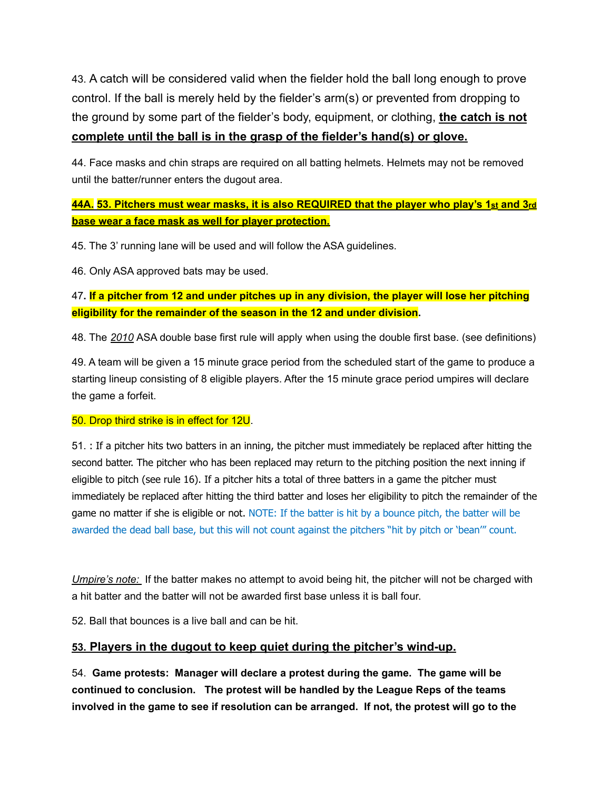43. A catch will be considered valid when the fielder hold the ball long enough to prove control. If the ball is merely held by the fielder's arm(s) or prevented from dropping to the ground by some part of the fielder's body, equipment, or clothing, **the catch is not complete until the ball is in the grasp of the fielder's hand(s) or glove.**

44. Face masks and chin straps are required on all batting helmets. Helmets may not be removed until the batter/runner enters the dugout area.

## **44A. 53. Pitchers must wear masks, it is also REQUIRED that the player who play's 1st and 3rd base wear a face mask as well for player protection.**

45. The 3' running lane will be used and will follow the ASA guidelines.

46. Only ASA approved bats may be used.

47**. If a pitcher from 12 and under pitches up in any division, the player will lose her pitching eligibility for the remainder of the season in the 12 and under division.**

48. The *2010* ASA double base first rule will apply when using the double first base. (see definitions)

49. A team will be given a 15 minute grace period from the scheduled start of the game to produce a starting lineup consisting of 8 eligible players. After the 15 minute grace period umpires will declare the game a forfeit.

#### 50. Drop third strike is in effect for 12U.

51. : If a pitcher hits two batters in an inning, the pitcher must immediately be replaced after hitting the second batter. The pitcher who has been replaced may return to the pitching position the next inning if eligible to pitch (see rule 16). If a pitcher hits a total of three batters in a game the pitcher must immediately be replaced after hitting the third batter and loses her eligibility to pitch the remainder of the game no matter if she is eligible or not. NOTE: If the batter is hit by a bounce pitch, the batter will be awarded the dead ball base, but this will not count against the pitchers "hit by pitch or 'bean'" count.

*Umpire's note:* If the batter makes no attempt to avoid being hit, the pitcher will not be charged with a hit batter and the batter will not be awarded first base unless it is ball four.

52. Ball that bounces is a live ball and can be hit.

#### **53. Players in the dugout to keep quiet during the pitcher's wind-up.**

54. **Game protests: Manager will declare a protest during the game. The game will be continued to conclusion. The protest will be handled by the League Reps of the teams involved in the game to see if resolution can be arranged. If not, the protest will go to the**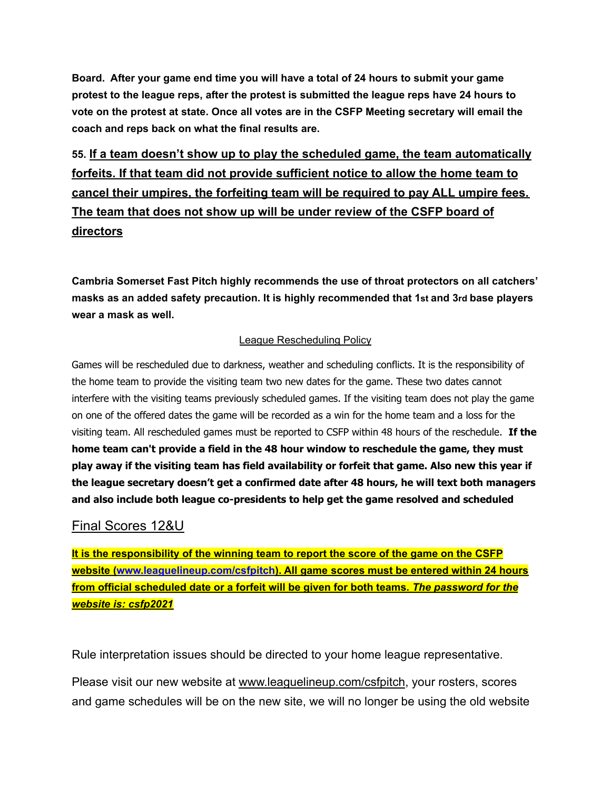**Board. After your game end time you will have a total of 24 hours to submit your game protest to the league reps, after the protest is submitted the league reps have 24 hours to vote on the protest at state. Once all votes are in the CSFP Meeting secretary will email the coach and reps back on what the final results are.**

**55. If a team doesn't show up to play the scheduled game, the team automatically forfeits. If that team did not provide sufficient notice to allow the home team to cancel their umpires, the forfeiting team will be required to pay ALL umpire fees. The team that does not show up will be under review of the CSFP board of directors**

**Cambria Somerset Fast Pitch highly recommends the use of throat protectors on all catchers' masks as an added safety precaution. It is highly recommended that 1st and 3rd base players wear a mask as well.**

### League Rescheduling Policy

Games will be rescheduled due to darkness, weather and scheduling conflicts. It is the responsibility of the home team to provide the visiting team two new dates for the game. These two dates cannot interfere with the visiting teams previously scheduled games. If the visiting team does not play the game on one of the offered dates the game will be recorded as a win for the home team and a loss for the visiting team. All rescheduled games must be reported to CSFP within 48 hours of the reschedule. **If the home team can't provide a field in the 48 hour window to reschedule the game, they must play away if the visiting team has field availability or forfeit that game. Also new this year if the league secretary doesn't get a confirmed date after 48 hours, he will text both managers and also include both league co-presidents to help get the game resolved and scheduled**

## Final Scores 12&U

**It is the responsibility of the winning team to report the score of the game on the CSFP website (www.leaguelineup.com/csfpitch). All game scores must be entered within 24 hours from official scheduled date or a forfeit will be given for both teams.** *The password for the website is: csfp2021*

Rule interpretation issues should be directed to your home league representative.

Please visit our new website at [www.leaguelineup.com/csfpitch](http://www.leaguelineup.com/csfpitch), your rosters, scores and game schedules will be on the new site, we will no longer be using the old website